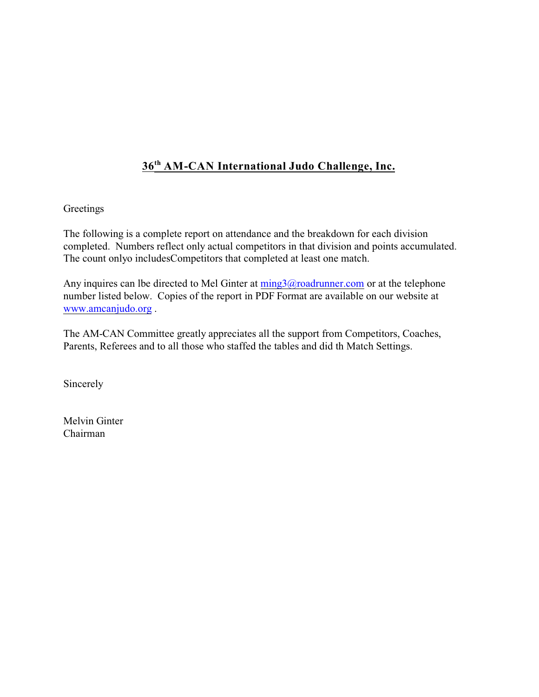# **36 AM-CAN International Judo Challenge, Inc. th**

#### **Greetings**

The following is a complete report on attendance and the breakdown for each division completed. Numbers reflect only actual competitors in that division and points accumulated. The count onlyo includesCompetitors that completed at least one match.

Any inquires can lbe directed to Mel Ginter at  $\frac{m}{2}$  @roadrunner.com or at the telephone number listed below. Copies of the report in PDF Format are available on our website at [www.amcanjudo.org](http://www.amcanjudo.org) .

The AM-CAN Committee greatly appreciates all the support from Competitors, Coaches, Parents, Referees and to all those who staffed the tables and did th Match Settings.

Sincerely

Melvin Ginter Chairman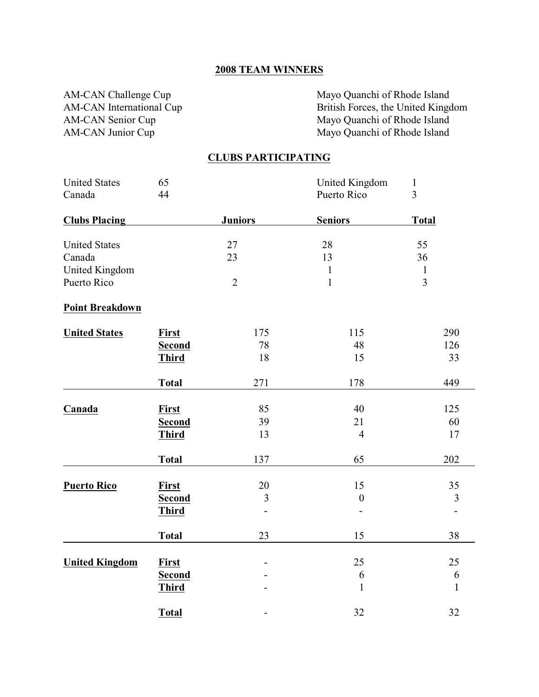#### **2008 TEAM WINNERS**

AM-CAN Challenge Cup<br>
AM-CAN International Cup<br>
British Forces, the United Kingd British Forces, the United Kingdom AM-CAN Senior Cup<br>
AM-CAN Junior Cup<br>
Mayo Quanchi of Rhode Island<br>
Mayo Quanchi of Rhode Island Mayo Quanchi of Rhode Island

#### **CLUBS PARTICIPATING**

| <b>United States</b>   | 65            |                          | United Kingdom   | $\mathbf{1}$             |
|------------------------|---------------|--------------------------|------------------|--------------------------|
| Canada                 | 44            |                          | Puerto Rico      | $\overline{3}$           |
| <b>Clubs Placing</b>   |               | <b>Juniors</b>           | <b>Seniors</b>   | <b>Total</b>             |
| <b>United States</b>   |               | 27                       | 28               | 55                       |
| Canada                 |               | 23                       | 13               | 36                       |
| United Kingdom         |               |                          | $\mathbf{1}$     | $\mathbf{1}$             |
| Puerto Rico            |               | $\overline{2}$           | $\mathbf 1$      | $\overline{3}$           |
| <b>Point Breakdown</b> |               |                          |                  |                          |
| <b>United States</b>   | <b>First</b>  | 175                      | 115              | 290                      |
|                        | <b>Second</b> | 78                       | 48               | 126                      |
|                        | <b>Third</b>  | 18                       | 15               | 33                       |
|                        | <b>Total</b>  | 271                      | 178              | 449                      |
| Canada                 | <b>First</b>  | 85                       | 40               | 125                      |
|                        | <b>Second</b> | 39                       | 21               | 60                       |
|                        | <b>Third</b>  | 13                       | $\overline{4}$   | 17                       |
|                        | <b>Total</b>  | 137                      | 65               | 202                      |
| <b>Puerto Rico</b>     | <b>First</b>  | 20                       | 15               | 35                       |
|                        | <b>Second</b> | 3                        | $\boldsymbol{0}$ | 3                        |
|                        | <b>Third</b>  |                          |                  | $\overline{\phantom{0}}$ |
|                        | <b>Total</b>  | 23                       | 15               | 38                       |
| <b>United Kingdom</b>  | First         |                          | 25               | 25                       |
|                        | <b>Second</b> |                          | 6                | 6                        |
|                        | <b>Third</b>  |                          | $\mathbf{1}$     | $\mathbf{1}$             |
|                        | Total         | $\overline{\phantom{0}}$ | 32               | 32                       |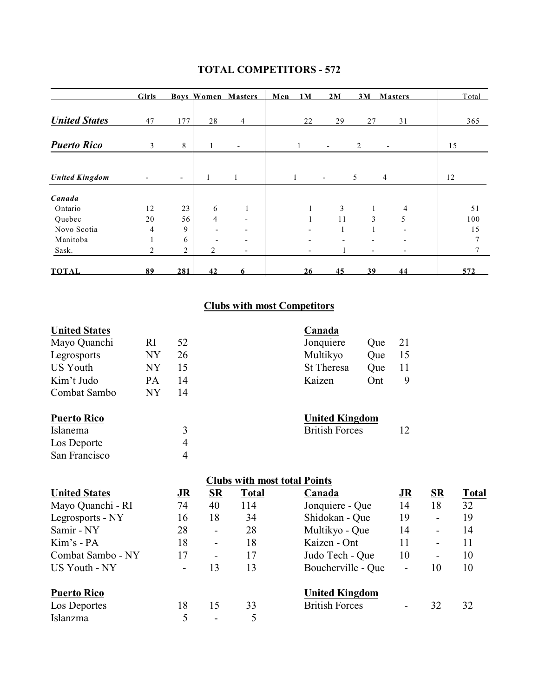|                       | <b>Girls</b> |                          |                | <b>Boys Women Masters</b> | Men 1M       |              | 2M                       | 3M                       | <b>Masters</b>           | Total |
|-----------------------|--------------|--------------------------|----------------|---------------------------|--------------|--------------|--------------------------|--------------------------|--------------------------|-------|
| <b>United States</b>  | 47           | 177                      | 28             | $\overline{4}$            |              | 22           | 29                       | 27                       | 31                       | 365   |
| <b>Puerto Rico</b>    | 3            | 8                        |                | $\overline{\phantom{a}}$  | 1            |              | $\overline{\phantom{a}}$ | $\overline{c}$           | $\overline{\phantom{a}}$ | 15    |
| <b>United Kingdom</b> |              | $\overline{\phantom{a}}$ | $\mathbf{1}$   | 1                         | $\mathbf{1}$ |              | $\overline{\phantom{a}}$ | 5                        | 4                        | 12    |
|                       |              |                          |                |                           |              |              |                          |                          |                          |       |
| Canada                |              |                          |                |                           |              |              |                          |                          |                          |       |
| Ontario               | 12           | 23                       | 6              | 1                         |              | $\mathbf{1}$ | 3                        | $\mathbf{1}$             | $\overline{4}$           | 51    |
| Quebec                | 20           | 56                       | $\overline{4}$ | $\overline{\phantom{a}}$  |              | $\mathbf{1}$ | 11                       | 3                        | 5                        | 100   |
| Novo Scotia           | 4            | 9                        |                | $\overline{\phantom{a}}$  |              |              |                          |                          |                          | 15    |
| Manitoba              |              | 6                        |                | $\overline{\phantom{0}}$  |              |              |                          |                          |                          |       |
| Sask.                 | 2            | $\overline{2}$           | 2              | $\overline{\phantom{0}}$  |              |              |                          | $\overline{\phantom{a}}$ | $\overline{\phantom{0}}$ |       |
| <b>TOTAL</b>          | 89           | 281                      | 42             | 6                         |              | 26           | 45                       | 39                       | 44                       | 572   |

### **TOTAL COMPETITORS - 572**

## **Clubs with most Competitors**

| <b>United States</b> |           |    |           |                                     | Canada                |     |    |           |              |
|----------------------|-----------|----|-----------|-------------------------------------|-----------------------|-----|----|-----------|--------------|
| Mayo Quanchi         | RI        | 52 |           |                                     | Jonquiere             | Que | 21 |           |              |
| Legrosports          | NY        | 26 |           |                                     | Multikyo              | Que | 15 |           |              |
| US Youth             | <b>NY</b> | 15 |           |                                     | <b>St Theresa</b>     | Que | 11 |           |              |
| Kim't Judo           | PA        | 14 |           |                                     | Kaizen                | Ont | 9  |           |              |
| Combat Sambo         | <b>NY</b> | 14 |           |                                     |                       |     |    |           |              |
| <b>Puerto Rico</b>   |           |    |           |                                     | <b>United Kingdom</b> |     |    |           |              |
| Islanema             |           | 3  |           |                                     | <b>British Forces</b> |     | 12 |           |              |
| Los Deporte          |           | 4  |           |                                     |                       |     |    |           |              |
| San Francisco        |           | 4  |           |                                     |                       |     |    |           |              |
|                      |           |    |           | <b>Clubs with most total Points</b> |                       |     |    |           |              |
| <b>United States</b> |           | JR | <b>SR</b> | Total                               | Canada                |     | JR | <b>SR</b> | <b>Total</b> |

| United States      | JК | $\overline{\nu}$         | 1 otal | Canada                | <u>ЈК</u> | $\overline{\mathbf{R}}$  | l otal |
|--------------------|----|--------------------------|--------|-----------------------|-----------|--------------------------|--------|
| Mayo Quanchi - RI  | 74 | 40                       | 114    | Jonquiere - Que       | 14        | 18                       | 32     |
| Legrosports - NY   | 16 | 18                       | 34     | Shidokan - Que        | 19        | $\overline{\phantom{a}}$ | 19     |
| Samir - NY         | 28 | $\overline{\phantom{a}}$ | 28     | Multikyo - Que        | 14        | $\overline{\phantom{a}}$ | 14     |
| Kim's - PA         | 18 | $\overline{\phantom{a}}$ | 18     | Kaizen - Ont          | 11        | $\overline{\phantom{a}}$ | 11     |
| Combat Sambo - NY  | 17 | $\overline{\phantom{a}}$ | 17     | Judo Tech - Que       | 10        | $\overline{\phantom{0}}$ | 10     |
| US Youth - NY      |    | 13                       | 13     | Boucherville - Que    | -         | 10                       | 10     |
| <b>Puerto Rico</b> |    |                          |        | <b>United Kingdom</b> |           |                          |        |
| Los Deportes       | 18 | 15                       | 33     | <b>British Forces</b> |           | 32                       | 32     |
| Islanzma           |    | $\overline{\phantom{0}}$ |        |                       |           |                          |        |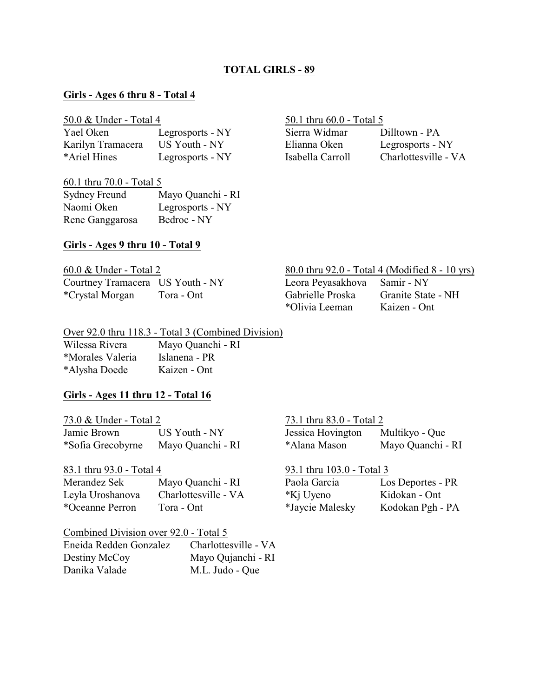#### **TOTAL GIRLS - 89**

#### **Girls - Ages 6 thru 8 - Total 4**

| Yael Oken         | Legrosports - NY |
|-------------------|------------------|
| Karilyn Tramacera | US Youth - NY    |
| *Ariel Hines      | Legrosports - NY |

# 60.1 thru 70.0 - Total 5

| <b>Sydney Freund</b> | Mayo Quanchi - RI |
|----------------------|-------------------|
| Naomi Oken           | Legrosports - NY  |
| Rene Ganggarosa      | Bedroc - NY       |

#### $50.0 \&$  Under - Total 4  $50.1$  thru 60.0 - Total 5

Sierra Widmar Dilltown - PA Elianna Oken Legrosports - NY Isabella Carroll Charlottesville - VA

#### **Girls - Ages 9 thru 10 - Total 9**

| 60.0 & Under - Total 2           |            |
|----------------------------------|------------|
| Courtney Tramacera US Youth - NY |            |
| <i>*Crystal Morgan</i>           | Tora - Ont |

#### 80.0 thru 92.0 - Total 4 (Modified 8 - 10 yrs)

| Leora Peyasakho  |
|------------------|
| Gabrielle Proska |
| *Olivia Leeman   |

va Samir - NY Granite State - NH Kaizen - Ont

#### Over 92.0 thru 118.3 - Total 3 (Combined Division) Wilessa Rivera Mayo Quanchi - RI \*Morales Valeria Islanena - PR

\*Alysha Doede Kaizen - Ont

#### **Girls - Ages 11 thru 12 - Total 16**

| 73.0 & Under - Total 2 |                   | 73.1 thru 83.0 - Total 2 |                   |  |  |
|------------------------|-------------------|--------------------------|-------------------|--|--|
| Jamie Brown            | US Youth - NY     | Jessica Hovington        | Multikyo - Que    |  |  |
| *Sofia Grecobyrne      | Mayo Quanchi - RI | *Alana Mason             | Mayo Quanchi - RI |  |  |

83.1 thru 93.0 - Total 4 Merandez Sek Mayo Quanchi - RI Paola Garcia Los Deportes - PR Leyla Uroshanova Charlottesville - VA \*Oceanne Perron Tora - Ont \*Jaycie Malesky Kodokan Pgh - PA

Combined Division over 92.0 - Total 5

| Eneida Redden Gonzalez | Charlottesville - VA |
|------------------------|----------------------|
| Destiny McCoy          | Mayo Qujanchi - RI   |
| Danika Valade          | M.L. Judo - Que      |

| 73.1 thru 83.0 - Total 2 |                   |  |  |  |  |
|--------------------------|-------------------|--|--|--|--|
| Jessica Hovington        | Multikyo - Que    |  |  |  |  |
| *Alana Mason             | Mayo Quanchi - RI |  |  |  |  |

| 93.1 thru 103.0 - Total 3 |                |
|---------------------------|----------------|
| Paola Garcia              | Los Deportes - |
| *Kj Uyeno                 | Kidokan - Ont  |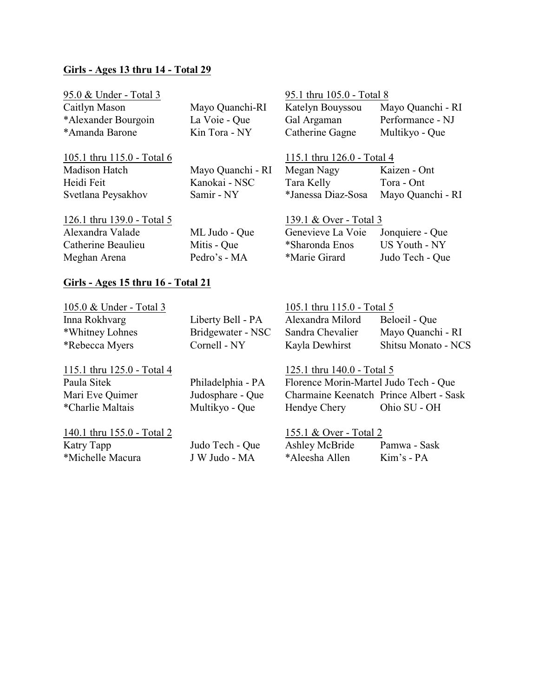#### **Girls - Ages 13 thru 14 - Total 29**

| 95.0 & Under - Total 3<br>Caitlyn Mason<br>*Alexander Bourgoin<br>*Amanda Barone | Mayo Quanchi-RI<br>La Voie - Que<br>Kin Tora - NY | 95.1 thru 105.0 - Total 8<br>Katelyn Bouyssou<br>Gal Argaman<br>Catherine Gagne | Mayo Quanchi - RI<br>Performance - NJ<br>Multikyo - Que |
|----------------------------------------------------------------------------------|---------------------------------------------------|---------------------------------------------------------------------------------|---------------------------------------------------------|
| 105.1 thru 115.0 - Total 6                                                       |                                                   | 115.1 thru 126.0 - Total 4                                                      |                                                         |
| <b>Madison Hatch</b>                                                             | Mayo Quanchi - RI                                 | Megan Nagy                                                                      | Kaizen - Ont                                            |
| Heidi Feit                                                                       | Kanokai - NSC                                     | Tara Kelly                                                                      | Tora - Ont                                              |
| Svetlana Peysakhov                                                               | Samir - NY                                        | *Janessa Diaz-Sosa                                                              | Mayo Quanchi - RI                                       |
| 126.1 thru 139.0 - Total 5                                                       |                                                   | 139.1 & Over - Total 3                                                          |                                                         |
| Alexandra Valade                                                                 | ML Judo - Que                                     | Genevieve La Voie                                                               | Jonquiere - Que                                         |
| Catherine Beaulieu                                                               | Mitis - Que                                       | *Sharonda Enos                                                                  | US Youth - NY                                           |
| Meghan Arena                                                                     | Pedro's - MA                                      | *Marie Girard                                                                   | Judo Tech - Que                                         |
| Girls - Ages 15 thru 16 - Total 21                                               |                                                   |                                                                                 |                                                         |

# 105.0 & Under - Total 3 105.1 thru 115.0 - Total 5 Inna Rokhvarg Liberty Bell - PA Alexandra Milord Beloeil - Que \*Whitney Lohnes Bridgewater - NSC Sandra Chevalier Mayo Quanchi - RI \*Rebecca Myers Cornell - NY Kayla Dewhirst Shitsu Monato - NCS 115.1 thru 125.0 - Total 4 125.1 thru 140.0 - Total 5 Paula Sitek Philadelphia - PA Florence Morin-Martel Judo Tech - Que Mari Eve Quimer Judosphare - Que Charmaine Keenatch Prince Albert - Sask \*Charlie Maltais Multikyo - Que Hendye Chery Ohio SU - OH

140.1 thru 155.0 - Total 2 155.1 & Over - Total 2 Katry Tapp Judo Tech - Que Ashley McBride Pamwa - Sask \*Michelle Macura J W Judo - MA \*Aleesha Allen Kim's - PA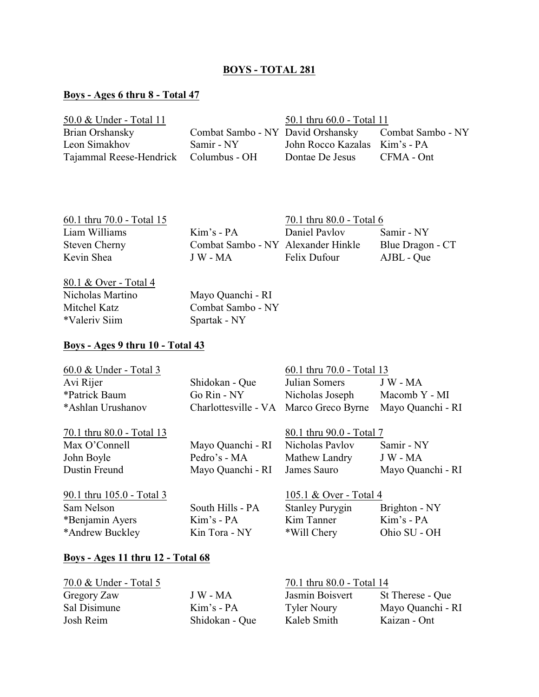#### **BOYS - TOTAL 281**

### **Boys - Ages 6 thru 8 - Total 47**

| 50.0 & Under - Total 11               |                                   | 50.1 thru 60.0 - Total 11     |                   |
|---------------------------------------|-----------------------------------|-------------------------------|-------------------|
| Brian Orshansky                       | Combat Sambo - NY David Orshansky |                               | Combat Sambo - NY |
| Leon Simakhov                         | Samir - NY                        | John Rocco Kazalas Kim's - PA |                   |
| Tajammal Reese-Hendrick Columbus - OH |                                   | Dontae De Jesus               | CFMA - Ont        |

| 60.1 thru 70.0 - Total 15 |                                    | 70.1 thru 80.0 - Total 6 |                  |
|---------------------------|------------------------------------|--------------------------|------------------|
| Liam Williams             | $Kim's - PA$                       | Daniel Paylov            | Samir - NY       |
| <b>Steven Cherny</b>      | Combat Sambo - NY Alexander Hinkle |                          | Blue Dragon - CT |
| Kevin Shea                | J W - MA                           | Felix Dufour             | AJBL - Que       |
|                           |                                    |                          |                  |

80.1 & Over - Total 4 Nicholas Martino Mayo Quanchi - RI Mitchel Katz<br>
\*Valeriv Siim<br>
Spartak - NY<br>
Spartak - NY \*Valeriv Siim

# **Boys - Ages 9 thru 10 - Total 43**

| 60.0 & Under - Total 3    |                                        | 60.1 thru 70.0 - Total 13 |                   |
|---------------------------|----------------------------------------|---------------------------|-------------------|
| Avi Rijer                 | Shidokan - Que                         | Julian Somers             | $J W - MA$        |
| *Patrick Baum             | Go Rin - NY                            | Nicholas Joseph           | Macomb Y - MI     |
| *Ashlan Urushanov         | Charlottesville - VA Marco Greco Byrne |                           | Mayo Quanchi - RI |
| 70.1 thru 80.0 - Total 13 |                                        | 80.1 thru 90.0 - Total 7  |                   |
| Max O'Connell             | Mayo Quanchi - RI                      | Nicholas Pavlov           | Samir - NY        |
| John Boyle                | Pedro's - MA                           | Mathew Landry             | J W - MA          |
| Dustin Freund             | Mayo Quanchi - RI                      | James Sauro               | Mayo Quanchi - RI |
| 90.1 thru 105.0 - Total 3 |                                        | 105.1 & Over - Total 4    |                   |
| Sam Nelson                | South Hills - PA                       | <b>Stanley Purygin</b>    | Brighton - NY     |
| *Benjamin Ayers           | $Kim's - PA$                           | Kim Tanner                | Kim's - PA        |
| *Andrew Buckley           | Kin Tora - NY                          | *Will Chery               | Ohio SU - OH      |

#### **Boys - Ages 11 thru 12 - Total 68**

| 70.0 & Under - Total 5 |                | 70.1 thru 80.0 - Total 14 |                   |
|------------------------|----------------|---------------------------|-------------------|
| Gregory Zaw            | J W - MA       | Jasmin Boisvert           | St Therese - Que  |
| Sal Disimune           | $Kim's - PA$   | <b>Tyler Noury</b>        | Mayo Quanchi - RI |
| Josh Reim              | Shidokan - Oue | Kaleb Smith               | Kaizan - Ont      |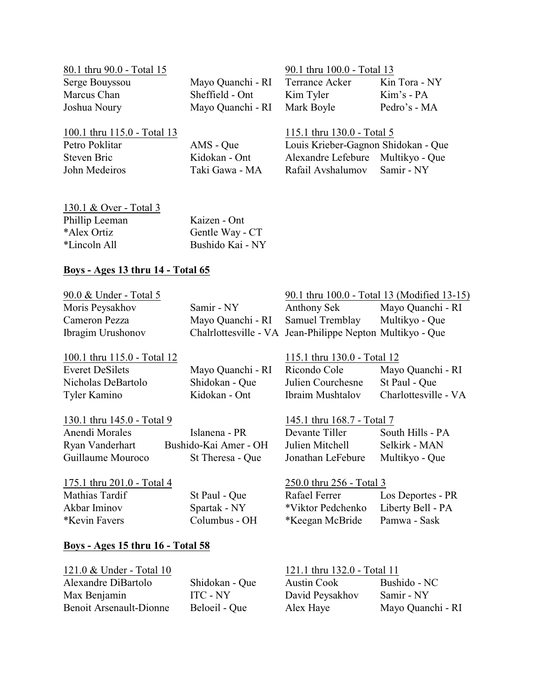| 80.1 thru 90.0 - Total 15   |                              | 90.1 thru 100.0 - Total 13 |                                     |
|-----------------------------|------------------------------|----------------------------|-------------------------------------|
| Serge Bouyssou              | Mayo Quanchi - RI            | <b>Terrance Acker</b>      | Kin Tora - NY                       |
| Marcus Chan                 | Sheffield - Ont              | Kim Tyler                  | Kim's - PA                          |
| Joshua Noury                | Mayo Quanchi - RI Mark Boyle |                            | Pedro's - MA                        |
| 100.1 thru 115.0 - Total 13 |                              | 115.1 thru 130.0 - Total 5 |                                     |
| Petro Poklitar              | AMS - Oue                    |                            | Louis Krieber-Gagnon Shidokan - Oue |

John Medeiros Taki Gawa - MA Rafail Avshalumov

Petro Polis Krieber-Gagnon Cours<br>
Ridokan - Ont Alexandre Lefebure Steven Bric Kidokan - Ont Alexandre Lefebure Multikyo - Que

| 130.1 & Over - Total 3 |                  |
|------------------------|------------------|
| Phillip Leeman         | Kaizen - Ont     |
| *Alex Ortiz            | Gentle Way - CT  |
| *Lincoln All           | Bushido Kai - NY |

#### **Boys - Ages 13 thru 14 - Total 65**

Benoit Arsenault-Dionne

| 90.0 & Under - Total 5                   |                       |                                                           | 90.1 thru 100.0 - Total 13 (Modified 13-15) |
|------------------------------------------|-----------------------|-----------------------------------------------------------|---------------------------------------------|
| Moris Peysakhov                          | Samir - NY            | Anthony Sek                                               | Mayo Quanchi - RI                           |
| Cameron Pezza                            | Mayo Quanchi - RI     | Samuel Tremblay                                           | Multikyo - Que                              |
| Ibragim Urushonov                        |                       | Chalrlottesville - VA Jean-Philippe Nepton Multikyo - Que |                                             |
|                                          |                       |                                                           |                                             |
| 100.1 thru 115.0 - Total 12              |                       | 115.1 thru 130.0 - Total 12                               |                                             |
| <b>Everet DeSilets</b>                   | Mayo Quanchi - RI     | Ricondo Cole                                              | Mayo Quanchi - RI                           |
| Nicholas DeBartolo                       | Shidokan - Que        | Julien Courchesne                                         | St Paul - Que                               |
| Tyler Kamino                             | Kidokan - Ont         | Ibraim Mushtalov                                          | Charlottesville - VA                        |
| 130.1 thru 145.0 - Total 9               |                       | 145.1 thru 168.7 - Total 7                                |                                             |
| Anendi Morales                           | Islanena - PR         | Devante Tiller                                            | South Hills - PA                            |
|                                          |                       |                                                           |                                             |
| Ryan Vanderhart                          | Bushido-Kai Amer - OH | Julien Mitchell                                           | Selkirk - MAN                               |
| Guillaume Mouroco                        | St Theresa - Que      | Jonathan LeFebure                                         | Multikyo - Que                              |
| 175.1 thru 201.0 - Total 4               |                       | 250.0 thru 256 - Total 3                                  |                                             |
| Mathias Tardif                           | St Paul - Que         | Rafael Ferrer                                             | Los Deportes - PR                           |
| Akbar Iminov                             | Spartak - NY          | *Viktor Pedchenko                                         | Liberty Bell - PA                           |
| *Kevin Favers                            | Columbus - OH         | *Keegan McBride                                           | Pamwa - Sask                                |
|                                          |                       |                                                           |                                             |
| <b>Boys - Ages 15 thru 16 - Total 58</b> |                       |                                                           |                                             |
| 121.0 & Under - Total 10                 |                       | 121.1 thru 132.0 - Total 11                               |                                             |
| Alexandre DiBartolo                      | Shidokan - Que        | <b>Austin Cook</b>                                        | Bushido - NC                                |

Max Benjamin ITC - NY David Peysakhov Samir - NY<br>Benoit Arsenault-Dionne Beloeil - Que Alex Haye Mayo Quanchi - RI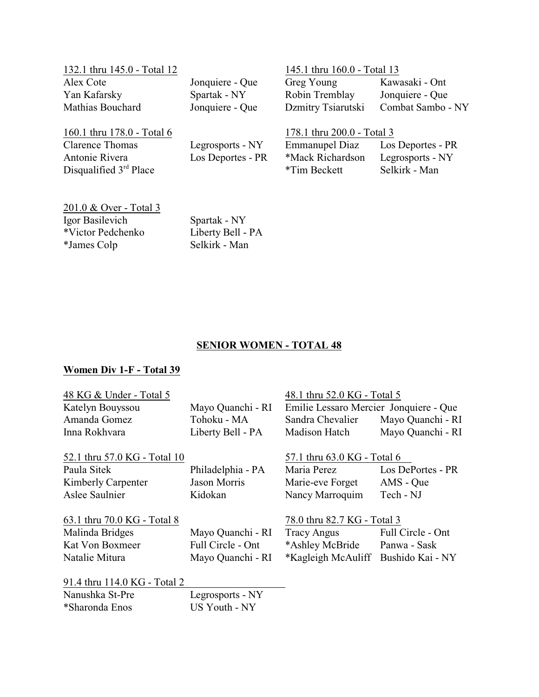| 132.1 thru 145.0 - Total 12 |                   | 145.1 thru 160.0 - Total 13 |                   |
|-----------------------------|-------------------|-----------------------------|-------------------|
| Alex Cote                   | Jonquiere - Que   | Greg Young                  | Kawasaki - Ont    |
| Yan Kafarsky                | Spartak - NY      | Robin Tremblay              | Jonquiere - Que   |
| Mathias Bouchard            | Jonquiere - Que   | Dzmitry Tsiarutski          | Combat Sambo - NY |
| 160.1 thru 178.0 - Total 6  |                   | 178.1 thru 200.0 - Total 3  |                   |
| <b>Clarence Thomas</b>      | Legrosports - NY  | Emmanupel Diaz              | Los Deportes - PR |
| Antonie Rivera              | Los Deportes - PR | *Mack Richardson            | Legrosports - NY  |
| Disqualified $3rd$ Place    |                   | *Tim Beckett                | Selkirk - Man     |
|                             |                   |                             |                   |
|                             |                   |                             |                   |

201.0 & Over - Total 3 Igor Basilevich Spartak - NY<br>\*Victor Pedchenko Liberty Bell - PA \*Victor Pedchenko<br>
\*James Colp<br>
Selkirk - Man \*James Colp

### **SENIOR WOMEN - TOTAL 48**

### **Women Div 1-F - Total 39**

| 48 KG & Under - Total 5      |                   | 48.1 thru 52.0 KG - Total 5            |                   |
|------------------------------|-------------------|----------------------------------------|-------------------|
| Katelyn Bouyssou             | Mayo Quanchi - RI | Emilie Lessaro Mercier Jonquiere - Que |                   |
| Amanda Gomez                 | Tohoku - MA       | Sandra Chevalier                       | Mayo Quanchi - RI |
| Inna Rokhvara                | Liberty Bell - PA | Madison Hatch                          | Mayo Quanchi - RI |
| 52.1 thru 57.0 KG - Total 10 |                   | 57.1 thru 63.0 KG - Total 6            |                   |
| Paula Sitek                  | Philadelphia - PA | Maria Perez                            | Los DePortes - PR |
| Kimberly Carpenter           | Jason Morris      | Marie-eve Forget                       | AMS - Que         |
| Aslee Saulnier               | Kidokan           | Nancy Marroquim                        | Tech - NJ         |
| 63.1 thru 70.0 KG - Total 8  |                   | 78.0 thru 82.7 KG - Total 3            |                   |
| Malinda Bridges              | Mayo Quanchi - RI | <b>Tracy Angus</b>                     | Full Circle - Ont |
| Kat Von Boxmeer              | Full Circle - Ont | *Ashley McBride                        | Panwa - Sask      |
| Natalie Mitura               | Mayo Quanchi - RI | *Kagleigh McAuliff Bushido Kai - NY    |                   |
| 91.4 thru 114.0 KG - Total 2 |                   |                                        |                   |

| Nanushka St-Pre | Legrosports - NY |
|-----------------|------------------|
| *Sharonda Enos  | US Youth - NY    |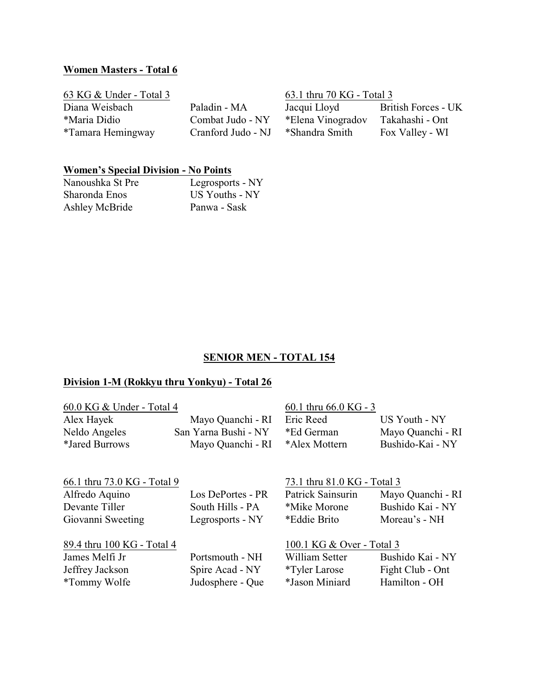#### **Women Masters - Total 6**

| 63 KG $&$ Under - Total 3 |                    | 63.1 thru 70 KG - Total 3 |                     |
|---------------------------|--------------------|---------------------------|---------------------|
| Diana Weisbach            | Paladin - MA       | Jacqui Lloyd              | British Forces - UK |
| *Maria Didio              | Combat Judo - NY   | *Elena Vinogradov         | Takahashi - Ont     |
| *Tamara Hemingway         | Cranford Judo - NJ | *Shandra Smith            | Fox Valley - WI     |

#### **Women's Special Division - No Points**

| Nanoushka St Pre | Legrosports - NY |
|------------------|------------------|
| Sharonda Enos    | US Youths - NY   |
| Ashley McBride   | Panwa - Sask     |

#### **SENIOR MEN - TOTAL 154**

#### **Division 1-M (Rokkyu thru Yonkyu) - Total 26**

| 60.0 KG & Under - Total 4   |                      | 60.1 thru 66.0 KG - 3       |                   |
|-----------------------------|----------------------|-----------------------------|-------------------|
| Alex Hayek                  | Mayo Quanchi - RI    | Eric Reed                   | US Youth - NY     |
| Neldo Angeles               | San Yarna Bushi - NY | *Ed German                  | Mayo Quanchi - RI |
| *Jared Burrows              | Mayo Quanchi - RI    | *Alex Mottern               | Bushido-Kai - NY  |
| 66.1 thru 73.0 KG - Total 9 |                      | 73.1 thru 81.0 KG - Total 3 |                   |
| Alfredo Aquino              | Los DePortes - PR    | Patrick Sainsurin           | Mayo Quanchi - RI |
|                             |                      |                             |                   |
| Devante Tiller              | South Hills - PA     | *Mike Morone                | Bushido Kai - NY  |
| Giovanni Sweeting           | Legrosports - NY     | *Eddie Brito                | Moreau's - NH     |

89.4 thru 100 KG - Total 4<br>James Melfi Jr Portsmouth - NH William Setter Bush

Judosphere - Que

James Melfi Jr Portsmouth - NH William Setter Bushido Kai - NY Jeffrey Jackson Spire Acad - NY \*Tyler Larose Fight Club - On<br>
\*Tommy Wolfe Judosphere - Que \*Jason Miniard Hamilton - OH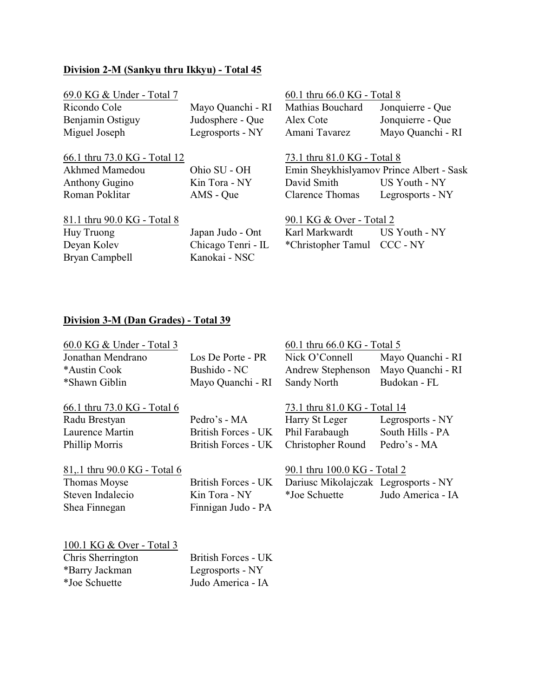### **Division 2-M (Sankyu thru Ikkyu) - Total 45**

| 69.0 KG & Under - Total 7    |                    | 60.1 thru 66.0 KG - Total 8 |                                          |
|------------------------------|--------------------|-----------------------------|------------------------------------------|
| Ricondo Cole                 | Mayo Quanchi - RI  | Mathias Bouchard            | Jonquierre - Que                         |
| Benjamin Ostiguy             | Judosphere - Que   | Alex Cote                   | Jonquierre - Que                         |
| Miguel Joseph                | Legrosports - NY   | Amani Tavarez               | Mayo Quanchi - RI                        |
| 66.1 thru 73.0 KG - Total 12 |                    | 73.1 thru 81.0 KG - Total 8 |                                          |
| Akhmed Mamedou               | Ohio SU - OH       |                             | Emin Sheykhislyamov Prince Albert - Sask |
| <b>Anthony Gugino</b>        | Kin Tora - NY      | David Smith                 | US Youth - NY                            |
| Roman Poklitar               | AMS - Que          | <b>Clarence Thomas</b>      | Legrosports - NY                         |
| 81.1 thru 90.0 KG - Total 8  |                    | 90.1 KG & Over - Total 2    |                                          |
| Huy Truong                   | Japan Judo - Ont   | Karl Markwardt              | US Youth - NY                            |
| Deyan Kolev                  | Chicago Tenri - IL | *Christopher Tamul CCC - NY |                                          |
| Bryan Campbell               | Kanokai - NSC      |                             |                                          |

# **Division 3-M (Dan Grades) - Total 39**

| 60.0 KG & Under - Total 3    |                     | 60.1 thru 66.0 KG - Total 5          |                   |
|------------------------------|---------------------|--------------------------------------|-------------------|
| Jonathan Mendrano            | Los De Porte - PR   | Nick O'Connell                       | Mayo Quanchi - RI |
| *Austin Cook                 | Bushido - NC        | Andrew Stephenson                    | Mayo Quanchi - RI |
| *Shawn Giblin                | Mayo Quanchi - RI   | Sandy North                          | Budokan - FL      |
| 66.1 thru 73.0 KG - Total 6  |                     | 73.1 thru 81.0 KG - Total 14         |                   |
| Radu Brestyan                | Pedro's - MA        | Harry St Leger                       | Legrosports - NY  |
| Laurence Martin              | British Forces - UK | Phil Farabaugh                       | South Hills - PA  |
| Phillip Morris               | British Forces - UK | Christopher Round                    | Pedro's - MA      |
| 81, 1 thru 90.0 KG - Total 6 |                     | 90.1 thru 100.0 KG - Total 2         |                   |
| Thomas Moyse                 | British Forces - UK | Dariusc Mikolajczak Legrosports - NY |                   |
| Steven Indalecio             | Kin Tora - NY       | *Joe Schuette                        | Judo America - IA |
| Shea Finnegan                | Finnigan Judo - PA  |                                      |                   |
| 100.1 KG & Over - Total 3    |                     |                                      |                   |
| Chris Sherrington            | British Forces - UK |                                      |                   |
| *Barry Jackman               | Legrosports - NY    |                                      |                   |
| *Joe Schuette                | Judo America - IA   |                                      |                   |